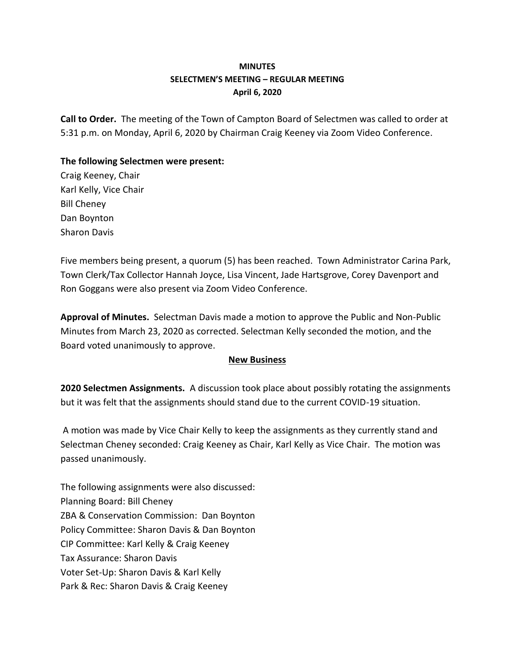# **MINUTES SELECTMEN'S MEETING – REGULAR MEETING April 6, 2020**

**Call to Order.** The meeting of the Town of Campton Board of Selectmen was called to order at 5:31 p.m. on Monday, April 6, 2020 by Chairman Craig Keeney via Zoom Video Conference.

## **The following Selectmen were present:**

Craig Keeney, Chair Karl Kelly, Vice Chair Bill Cheney Dan Boynton Sharon Davis

Five members being present, a quorum (5) has been reached.Town Administrator Carina Park, Town Clerk/Tax Collector Hannah Joyce, Lisa Vincent, Jade Hartsgrove, Corey Davenport and Ron Goggans were also present via Zoom Video Conference.

**Approval of Minutes.** Selectman Davis made a motion to approve the Public and Non-Public Minutes from March 23, 2020 as corrected. Selectman Kelly seconded the motion, and the Board voted unanimously to approve.

#### **New Business**

**2020 Selectmen Assignments.** A discussion took place about possibly rotating the assignments but it was felt that the assignments should stand due to the current COVID-19 situation.

A motion was made by Vice Chair Kelly to keep the assignments as they currently stand and Selectman Cheney seconded: Craig Keeney as Chair, Karl Kelly as Vice Chair. The motion was passed unanimously.

The following assignments were also discussed: Planning Board: Bill Cheney ZBA & Conservation Commission: Dan Boynton Policy Committee: Sharon Davis & Dan Boynton CIP Committee: Karl Kelly & Craig Keeney Tax Assurance: Sharon Davis Voter Set-Up: Sharon Davis & Karl Kelly Park & Rec: Sharon Davis & Craig Keeney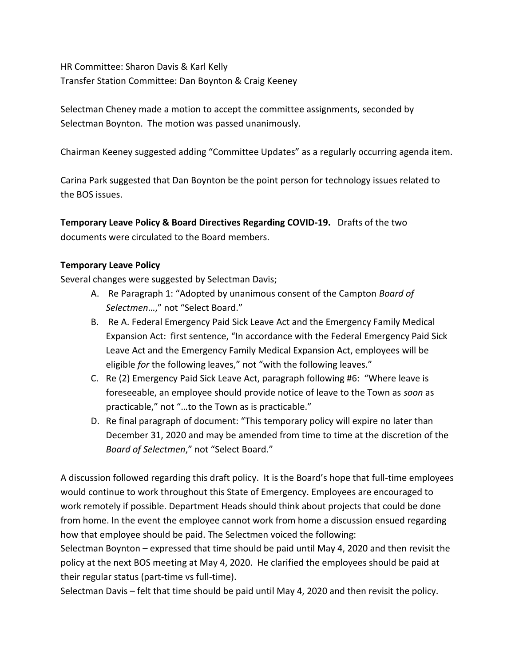HR Committee: Sharon Davis & Karl Kelly Transfer Station Committee: Dan Boynton & Craig Keeney

Selectman Cheney made a motion to accept the committee assignments, seconded by Selectman Boynton. The motion was passed unanimously.

Chairman Keeney suggested adding "Committee Updates" as a regularly occurring agenda item.

Carina Park suggested that Dan Boynton be the point person for technology issues related to the BOS issues.

**Temporary Leave Policy & Board Directives Regarding COVID-19.** Drafts of the two documents were circulated to the Board members.

## **Temporary Leave Policy**

Several changes were suggested by Selectman Davis;

- A. Re Paragraph 1: "Adopted by unanimous consent of the Campton *Board of Selectmen*…," not "Select Board."
- B. Re A. Federal Emergency Paid Sick Leave Act and the Emergency Family Medical Expansion Act: first sentence, "In accordance with the Federal Emergency Paid Sick Leave Act and the Emergency Family Medical Expansion Act, employees will be eligible *for* the following leaves," not "with the following leaves."
- C. Re (2) Emergency Paid Sick Leave Act, paragraph following #6: "Where leave is foreseeable, an employee should provide notice of leave to the Town as *soon* as practicable," not "…to the Town as is practicable."
- D. Re final paragraph of document: "This temporary policy will expire no later than December 31, 2020 and may be amended from time to time at the discretion of the *Board of Selectmen*," not "Select Board."

A discussion followed regarding this draft policy. It is the Board's hope that full-time employees would continue to work throughout this State of Emergency. Employees are encouraged to work remotely if possible. Department Heads should think about projects that could be done from home. In the event the employee cannot work from home a discussion ensued regarding how that employee should be paid. The Selectmen voiced the following:

Selectman Boynton – expressed that time should be paid until May 4, 2020 and then revisit the policy at the next BOS meeting at May 4, 2020. He clarified the employees should be paid at their regular status (part-time vs full-time).

Selectman Davis – felt that time should be paid until May 4, 2020 and then revisit the policy.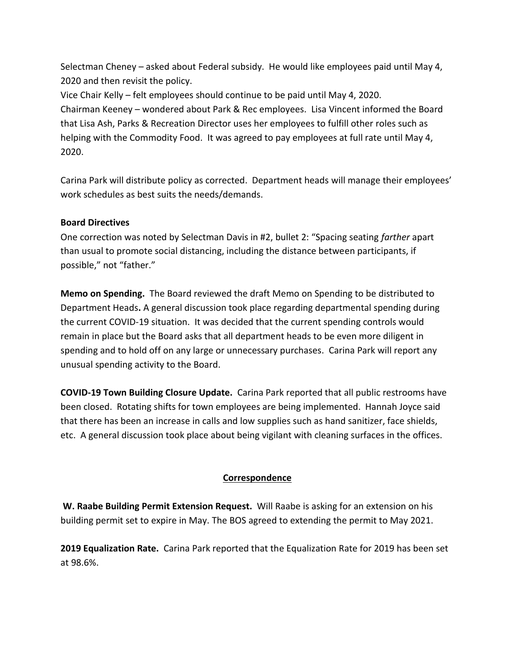Selectman Cheney – asked about Federal subsidy. He would like employees paid until May 4, 2020 and then revisit the policy.

Vice Chair Kelly – felt employees should continue to be paid until May 4, 2020. Chairman Keeney – wondered about Park & Rec employees. Lisa Vincent informed the Board that Lisa Ash, Parks & Recreation Director uses her employees to fulfill other roles such as helping with the Commodity Food. It was agreed to pay employees at full rate until May 4, 2020.

Carina Park will distribute policy as corrected. Department heads will manage their employees' work schedules as best suits the needs/demands.

#### **Board Directives**

One correction was noted by Selectman Davis in #2, bullet 2: "Spacing seating *farther* apart than usual to promote social distancing, including the distance between participants, if possible," not "father."

**Memo on Spending.** The Board reviewed the draft Memo on Spending to be distributed to Department Heads**.** A general discussion took place regarding departmental spending during the current COVID-19 situation. It was decided that the current spending controls would remain in place but the Board asks that all department heads to be even more diligent in spending and to hold off on any large or unnecessary purchases. Carina Park will report any unusual spending activity to the Board.

**COVID-19 Town Building Closure Update.** Carina Park reported that all public restrooms have been closed. Rotating shifts for town employees are being implemented. Hannah Joyce said that there has been an increase in calls and low supplies such as hand sanitizer, face shields, etc. A general discussion took place about being vigilant with cleaning surfaces in the offices.

## **Correspondence**

**W. Raabe Building Permit Extension Request.** Will Raabe is asking for an extension on his building permit set to expire in May. The BOS agreed to extending the permit to May 2021.

**2019 Equalization Rate.** Carina Park reported that the Equalization Rate for 2019 has been set at 98.6%.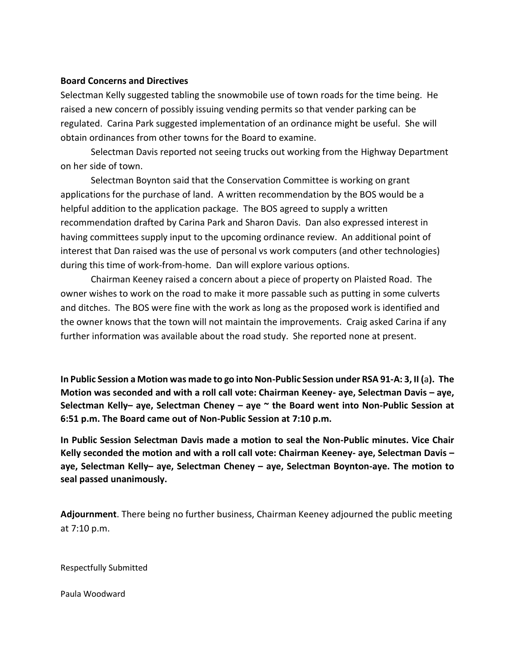#### **Board Concerns and Directives**

Selectman Kelly suggested tabling the snowmobile use of town roads for the time being. He raised a new concern of possibly issuing vending permits so that vender parking can be regulated. Carina Park suggested implementation of an ordinance might be useful. She will obtain ordinances from other towns for the Board to examine.

Selectman Davis reported not seeing trucks out working from the Highway Department on her side of town.

Selectman Boynton said that the Conservation Committee is working on grant applications for the purchase of land. A written recommendation by the BOS would be a helpful addition to the application package. The BOS agreed to supply a written recommendation drafted by Carina Park and Sharon Davis. Dan also expressed interest in having committees supply input to the upcoming ordinance review. An additional point of interest that Dan raised was the use of personal vs work computers (and other technologies) during this time of work-from-home. Dan will explore various options.

Chairman Keeney raised a concern about a piece of property on Plaisted Road. The owner wishes to work on the road to make it more passable such as putting in some culverts and ditches. The BOS were fine with the work as long as the proposed work is identified and the owner knows that the town will not maintain the improvements. Craig asked Carina if any further information was available about the road study. She reported none at present.

**In Public Session a Motion was made to go into Non-Public Session under RSA 91-A: 3, II (**a**). The Motion was seconded and with a roll call vote: Chairman Keeney- aye, Selectman Davis – aye, Selectman Kelly– aye, Selectman Cheney – aye ~ the Board went into Non-Public Session at 6:51 p.m. The Board came out of Non-Public Session at 7:10 p.m.**

**In Public Session Selectman Davis made a motion to seal the Non-Public minutes. Vice Chair Kelly seconded the motion and with a roll call vote: Chairman Keeney- aye, Selectman Davis – aye, Selectman Kelly– aye, Selectman Cheney – aye, Selectman Boynton-aye. The motion to seal passed unanimously.** 

**Adjournment**. There being no further business, Chairman Keeney adjourned the public meeting at 7:10 p.m.

Respectfully Submitted

Paula Woodward